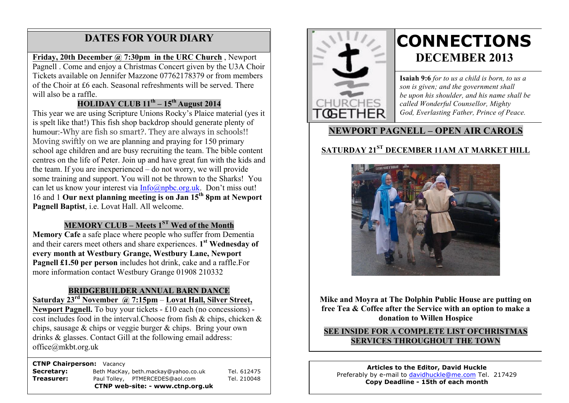# **DATES FOR YOUR DIARY**

#### **Friday, 20th December @ 7:30pm in the URC Church** , Newport

 of the Choir at £6 each. Seasonal refreshments will be served. There will also be a raffle. Pagnell . Come and enjoy a Christmas Concert given by the U3A Choir Tickets available on Jennifer Mazzone 07762178379 or from members

#### **HOLIDAY CLUB 11th – 15th August 2014**

This year we are using Scripture Unions Rocky's Plaice material (yes it is spelt like that!) This fish shop backdrop should generate plenty of humour:-Why are fish so smart?. They are always in schools!! Moving swiftly on we are planning and praying for 150 primary school age children and are busy recruiting the team. The bible content centres on the life of Peter. Join up and have great fun with the kids and the team. If you are inexperienced – do not worry, we will provide some training and support. You will not be thrown to the Sharks! You can let us know your interest via Info@npbc.org.uk. Don't miss out! 16 and 1 **Our next planning meeting is on Jan 15th 8pm at Newport Pagnell Baptist**, i.e. Lovat Hall. All welcome.

#### **MEMORY CLUB – Meets 1ST Wed of the Month**

**Memory Cafe** a safe place where people who suffer from Dementia and their carers meet others and share experiences. **1st Wednesday of every month at Westbury Grange, Westbury Lane, Newport Pagnell £1.50 per person** includes hot drink, cake and a raffle.For more information contact Westbury Grange 01908 210332

#### **BRIDGEBUILDER ANNUAL BARN DANCE**

**Saturday 23rd November @ 7:15pm** – **Lovat Hall, Silver Street, Newport Pagnell.** To buy your tickets - £10 each (no concessions) cost includes food in the interval.Choose from fish & chips, chicken & chips, sausage & chips or veggie burger & chips. Bring your own drinks & glasses. Contact Gill at the following email address: office@mkbt.org.uk

#### **CTNP Chairperson:** Vacancy

|                             | CTNP web-site: - www.ctnp.org.uk     |             |
|-----------------------------|--------------------------------------|-------------|
| Treasurer:                  | Paul Tolley, PTMERCEDES@aol.com      | Tel. 210048 |
| Secretary:                  | Beth MacKay, beth.mackay@yahoo.co.uk | Tel. 612475 |
| ___________________________ |                                      |             |



# **CONNECTIONS DECEMBER 2013**

**Isaiah 9:6** *for to us a child is born, to us a son is given; and the government shall be upon his shoulder, and his name shall be called Wonderful Counsellor, Mighty God, Everlasting Father, Prince of Peace.*

## **NEWPORT PAGNELL – OPEN AIR CAROLS**

# **SATURDAY 21<sup>ST</sup> DECEMBER 11AM AT MARKET HILL**



**Mike and Moyra at The Dolphin Public House are putting on free Tea & Coffee after the Service with an option to make a donation to Willen Hospice**

**SEE INSIDE FOR A COMPLETE LIST OFCHRISTMAS SERVICES THROUGHOUT THE TOWN**

**Articles to the Editor, David Huckle** Preferably by e-mail to davidhuckle@me.com Tel. 217429 **Copy Deadline - 15th of each month**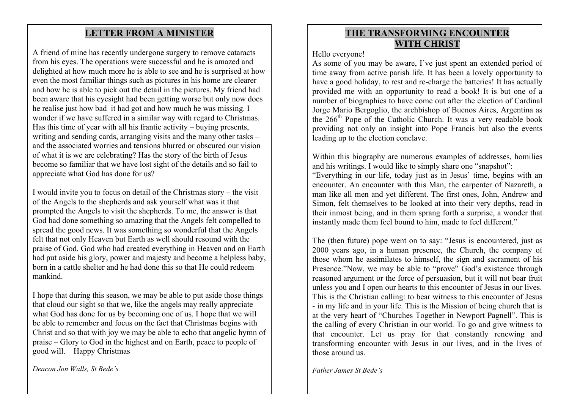### **LETTER FROM A MINISTER**

A friend of mine has recently undergone surgery to remove cataracts from his eyes. The operations were successful and he is amazed and delighted at how much more he is able to see and he is surprised at how even the most familiar things such as pictures in his home are clearer and how he is able to pick out the detail in the pictures. My friend had been aware that his eyesight had been getting worse but only now does he realise just how bad it had got and how much he was missing. I wonder if we have suffered in a similar way with regard to Christmas. Has this time of year with all his frantic activity – buying presents, writing and sending cards, arranging visits and the many other tasks – and the associated worries and tensions blurred or obscured our vision of what it is we are celebrating? Has the story of the birth of Jesus become so familiar that we have lost sight of the details and so fail to appreciate what God has done for us?

I would invite you to focus on detail of the Christmas story – the visit of the Angels to the shepherds and ask yourself what was it that prompted the Angels to visit the shepherds. To me, the answer is that God had done something so amazing that the Angels felt compelled to spread the good news. It was something so wonderful that the Angels felt that not only Heaven but Earth as well should resound with the praise of God. God who had created everything in Heaven and on Earth had put aside his glory, power and majesty and become a helpless baby, born in a cattle shelter and he had done this so that He could redeem mankind.

I hope that during this season, we may be able to put aside those things that cloud our sight so that we, like the angels may really appreciate what God has done for us by becoming one of us. I hope that we will be able to remember and focus on the fact that Christmas begins with Christ and so that with joy we may be able to echo that angelic hymn of praise – Glory to God in the highest and on Earth, peace to people of good will. Happy Christmas

*Deacon Jon Walls, St Bede's* 

### **THE TRANSFORMING ENCOUNTER WITH CHRIST**

#### Hello everyone!

As some of you may be aware, I've just spent an extended period of time away from active parish life. It has been a lovely opportunity to have a good holiday, to rest and re-charge the batteries! It has actually provided me with an opportunity to read a book! It is but one of a number of biographies to have come out after the election of Cardinal Jorge Mario Bergoglio, the archbishop of Buenos Aires, Argentina as the  $266<sup>th</sup>$  Pope of the Catholic Church. It was a very readable book providing not only an insight into Pope Francis but also the events leading up to the election conclave.

Within this biography are numerous examples of addresses, homilies and his writings. I would like to simply share one "snapshot":

"Everything in our life, today just as in Jesus' time, begins with an encounter. An encounter with this Man, the carpenter of Nazareth, a man like all men and yet different. The first ones, John, Andrew and Simon, felt themselves to be looked at into their very depths, read in their inmost being, and in them sprang forth a surprise, a wonder that instantly made them feel bound to him, made to feel different."

The (then future) pope went on to say: "Jesus is encountered, just as 2000 years ago, in a human presence, the Church, the company of those whom he assimilates to himself, the sign and sacrament of his Presence."Now, we may be able to "prove" God's existence through reasoned argument or the force of persuasion, but it will not bear fruit unless you and I open our hearts to this encounter of Jesus in our lives. This is the Christian calling: to bear witness to this encounter of Jesus - in my life and in your life. This is the Mission of being church that is at the very heart of "Churches Together in Newport Pagnell". This is the calling of every Christian in our world. To go and give witness to that encounter. Let us pray for that constantly renewing and transforming encounter with Jesus in our lives, and in the lives of those around us.

*Father James St Bede's*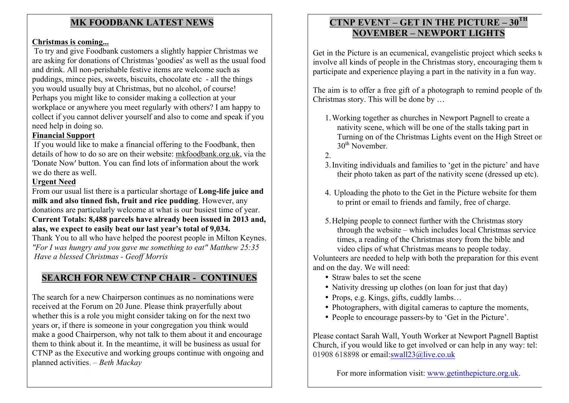### **MK FOODBANK LATEST NEWS**

#### **Christmas is coming...**

To try and give Foodbank customers a slightly happier Christmas we are asking for donations of Christmas 'goodies' as well as the usual food and drink. All non-perishable festive items are welcome such as puddings, mince pies, sweets, biscuits, chocolate etc - all the things you would usually buy at Christmas, but no alcohol, of course! Perhaps you might like to consider making a collection at your workplace or anywhere you meet regularly with others? I am happy to collect if you cannot deliver yourself and also to come and speak if you need help in doing so.

#### **Financial Support**

If you would like to make a financial offering to the Foodbank, then details of how to do so are on their website: mkfoodbank.org.uk, via the 'Donate Now' button. You can find lots of information about the work we do there as well.

#### **Urgent Need**

From our usual list there is a particular shortage of **Long-life juice and milk and also tinned fish, fruit and rice pudding**. However, any donations are particularly welcome at what is our busiest time of year. **Current Totals: 8,488 parcels have already been issued in 2013 and, alas, we expect to easily beat our last year's total of 9,034.**

Thank You to all who have helped the poorest people in Milton Keynes. *"For I was hungry and you gave me something to eat" Matthew 25:35 Have a blessed Christmas - Geoff Morris*

# **SEARCH FOR NEW CTNP CHAIR - CONTINUES**

The search for a new Chairperson continues as no nominations were received at the Forum on 20 June. Please think prayerfully about whether this is a role you might consider taking on for the next two years or, if there is someone in your congregation you think would make a good Chairperson, why not talk to them about it and encourage them to think about it. In the meantime, it will be business as usual for CTNP as the Executive and working groups continue with ongoing and planned activities. – *Beth Mackay*

## **CTNP EVENT – GET IN THE PICTURE – 30TH NOVEMBER – NEWPORT LIGHTS**

Get in the Picture is an ecumenical, evangelistic project which seeks to involve all kinds of people in the Christmas story, encouraging them to participate and experience playing a part in the nativity in a fun way.

The aim is to offer a free gift of a photograph to remind people of the Christmas story. This will be done by …

- 1.Working together as churches in Newport Pagnell to create a nativity scene, which will be one of the stalls taking part in Turning on of the Christmas Lights event on the High Street on  $30<sup>th</sup>$  November.
- $2^{\circ}$
- 3.Inviting individuals and families to 'get in the picture' and have their photo taken as part of the nativity scene (dressed up etc).
- 4. Uploading the photo to the Get in the Picture website for them to print or email to friends and family, free of charge.
- 5.Helping people to connect further with the Christmas story through the website – which includes local Christmas service times, a reading of the Christmas story from the bible and video clips of what Christmas means to people today.

Volunteers are needed to help with both the preparation for this event and on the day. We will need:

- Straw bales to set the scene
- Nativity dressing up clothes (on loan for just that day)
- Props, e.g. Kings, gifts, cuddly lambs...
- Photographers, with digital cameras to capture the moments,
- People to encourage passers-by to 'Get in the Picture'.

Please contact Sarah Wall, Youth Worker at Newport Pagnell Baptist Church, if you would like to get involved or can help in any way: tel: 01908 618898 or email: swall $23@$ live.co.uk

For more information visit: www.getinthepicture.org.uk.